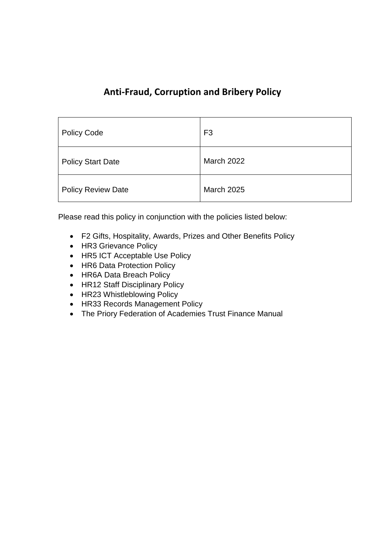## **Anti-Fraud, Corruption and Bribery Policy**

| <b>Policy Code</b>        | F <sub>3</sub>    |
|---------------------------|-------------------|
| <b>Policy Start Date</b>  | <b>March 2022</b> |
| <b>Policy Review Date</b> | <b>March 2025</b> |

Please read this policy in conjunction with the policies listed below:

- F2 Gifts, Hospitality, Awards, Prizes and Other Benefits Policy
- HR3 Grievance Policy
- HR5 ICT Acceptable Use Policy
- HR6 Data Protection Policy
- HR6A Data Breach Policy
- HR12 Staff Disciplinary Policy
- HR23 Whistleblowing Policy
- HR33 Records Management Policy
- The Priory Federation of Academies Trust Finance Manual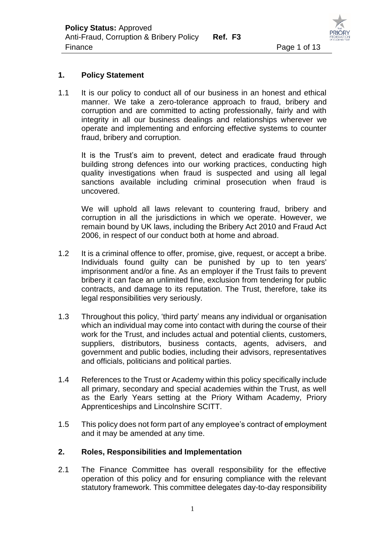

#### **1. Policy Statement**

1.1 It is our policy to conduct all of our business in an honest and ethical manner. We take a zero-tolerance approach to fraud, bribery and corruption and are committed to acting professionally, fairly and with integrity in all our business dealings and relationships wherever we operate and implementing and enforcing effective systems to counter fraud, bribery and corruption.

It is the Trust's aim to prevent, detect and eradicate fraud through building strong defences into our working practices, conducting high quality investigations when fraud is suspected and using all legal sanctions available including criminal prosecution when fraud is uncovered.

We will uphold all laws relevant to countering fraud, bribery and corruption in all the jurisdictions in which we operate. However, we remain bound by UK laws, including the Bribery Act 2010 and Fraud Act 2006, in respect of our conduct both at home and abroad.

- 1.2 It is a criminal offence to offer, promise, give, request, or accept a bribe. Individuals found guilty can be punished by up to ten years' imprisonment and/or a fine. As an employer if the Trust fails to prevent bribery it can face an unlimited fine, exclusion from tendering for public contracts, and damage to its reputation. The Trust, therefore, take its legal responsibilities very seriously.
- 1.3 Throughout this policy, 'third party' means any individual or organisation which an individual may come into contact with during the course of their work for the Trust, and includes actual and potential clients, customers, suppliers, distributors, business contacts, agents, advisers, and government and public bodies, including their advisors, representatives and officials, politicians and political parties.
- 1.4 References to the Trust or Academy within this policy specifically include all primary, secondary and special academies within the Trust, as well as the Early Years setting at the Priory Witham Academy, Priory Apprenticeships and Lincolnshire SCITT.
- 1.5 This policy does not form part of any employee's contract of employment and it may be amended at any time.

#### **2. Roles, Responsibilities and Implementation**

2.1 The Finance Committee has overall responsibility for the effective operation of this policy and for ensuring compliance with the relevant statutory framework. This committee delegates day-to-day responsibility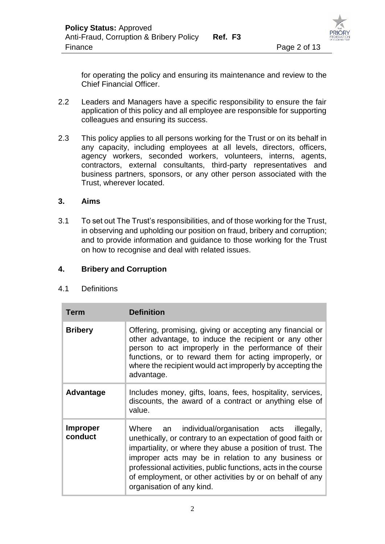

for operating the policy and ensuring its maintenance and review to the Chief Financial Officer.

- 2.2 Leaders and Managers have a specific responsibility to ensure the fair application of this policy and all employee are responsible for supporting colleagues and ensuring its success.
- 2.3 This policy applies to all persons working for the Trust or on its behalf in any capacity, including employees at all levels, directors, officers, agency workers, seconded workers, volunteers, interns, agents, contractors, external consultants, third-party representatives and business partners, sponsors, or any other person associated with the Trust, wherever located.

#### **3. Aims**

3.1 To set out The Trust's responsibilities, and of those working for the Trust, in observing and upholding our position on fraud, bribery and corruption; and to provide information and guidance to those working for the Trust on how to recognise and deal with related issues.

#### **4. Bribery and Corruption**

#### 4.1 Definitions

| <b>Term</b>                | <b>Definition</b>                                                                                                                                                                                                                                                                                                                                                                               |
|----------------------------|-------------------------------------------------------------------------------------------------------------------------------------------------------------------------------------------------------------------------------------------------------------------------------------------------------------------------------------------------------------------------------------------------|
| <b>Bribery</b>             | Offering, promising, giving or accepting any financial or<br>other advantage, to induce the recipient or any other<br>person to act improperly in the performance of their<br>functions, or to reward them for acting improperly, or<br>where the recipient would act improperly by accepting the<br>advantage.                                                                                 |
| Advantage                  | Includes money, gifts, loans, fees, hospitality, services,<br>discounts, the award of a contract or anything else of<br>value.                                                                                                                                                                                                                                                                  |
| <b>Improper</b><br>conduct | Where an individual/organisation acts illegally,<br>unethically, or contrary to an expectation of good faith or<br>impartiality, or where they abuse a position of trust. The<br>improper acts may be in relation to any business or<br>professional activities, public functions, acts in the course<br>of employment, or other activities by or on behalf of any<br>organisation of any kind. |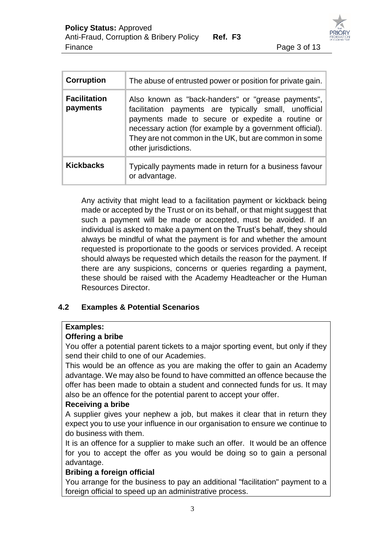

| <b>Corruption</b>               | The abuse of entrusted power or position for private gain.                                                                                                                                                                                                                                                   |
|---------------------------------|--------------------------------------------------------------------------------------------------------------------------------------------------------------------------------------------------------------------------------------------------------------------------------------------------------------|
| <b>Facilitation</b><br>payments | Also known as "back-handers" or "grease payments",<br>facilitation payments are typically small, unofficial<br>payments made to secure or expedite a routine or<br>necessary action (for example by a government official).<br>They are not common in the UK, but are common in some<br>other jurisdictions. |
| <b>Kickbacks</b>                | Typically payments made in return for a business favour<br>or advantage.                                                                                                                                                                                                                                     |

Any activity that might lead to a facilitation payment or kickback being made or accepted by the Trust or on its behalf, or that might suggest that such a payment will be made or accepted, must be avoided. If an individual is asked to make a payment on the Trust's behalf, they should always be mindful of what the payment is for and whether the amount requested is proportionate to the goods or services provided. A receipt should always be requested which details the reason for the payment. If there are any suspicions, concerns or queries regarding a payment, these should be raised with the Academy Headteacher or the Human Resources Director.

## **4.2 Examples & Potential Scenarios**

#### **Examples:**

#### **Offering a bribe**

You offer a potential parent tickets to a major sporting event, but only if they send their child to one of our Academies.

This would be an offence as you are making the offer to gain an Academy advantage. We may also be found to have committed an offence because the offer has been made to obtain a student and connected funds for us. It may also be an offence for the potential parent to accept your offer.

#### **Receiving a bribe**

A supplier gives your nephew a job, but makes it clear that in return they expect you to use your influence in our organisation to ensure we continue to do business with them.

It is an offence for a supplier to make such an offer. It would be an offence for you to accept the offer as you would be doing so to gain a personal advantage.

#### **Bribing a foreign official**

You arrange for the business to pay an additional "facilitation" payment to a foreign official to speed up an administrative process.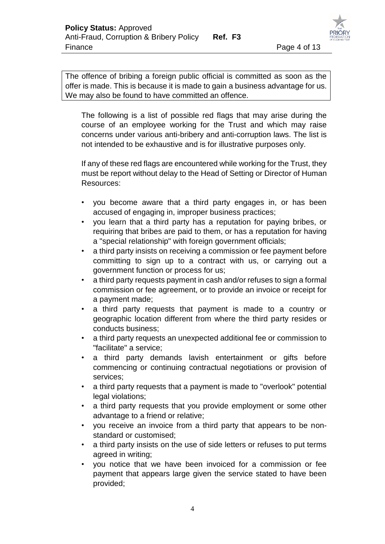The offence of bribing a foreign public official is committed as soon as the offer is made. This is because it is made to gain a business advantage for us. We may also be found to have committed an offence.

The following is a list of possible red flags that may arise during the course of an employee working for the Trust and which may raise concerns under various anti-bribery and anti-corruption laws. The list is not intended to be exhaustive and is for illustrative purposes only.

If any of these red flags are encountered while working for the Trust, they must be report without delay to the Head of Setting or Director of Human Resources:

- you become aware that a third party engages in, or has been accused of engaging in, improper business practices;
- you learn that a third party has a reputation for paying bribes, or requiring that bribes are paid to them, or has a reputation for having a "special relationship" with foreign government officials;
- a third party insists on receiving a commission or fee payment before committing to sign up to a contract with us, or carrying out a government function or process for us;
- a third party requests payment in cash and/or refuses to sign a formal commission or fee agreement, or to provide an invoice or receipt for a payment made;
- a third party requests that payment is made to a country or geographic location different from where the third party resides or conducts business;
- a third party requests an unexpected additional fee or commission to "facilitate" a service;
- a third party demands lavish entertainment or gifts before commencing or continuing contractual negotiations or provision of services;
- a third party requests that a payment is made to "overlook" potential legal violations;
- a third party requests that you provide employment or some other advantage to a friend or relative;
- you receive an invoice from a third party that appears to be nonstandard or customised;
- a third party insists on the use of side letters or refuses to put terms agreed in writing;
- you notice that we have been invoiced for a commission or fee payment that appears large given the service stated to have been provided;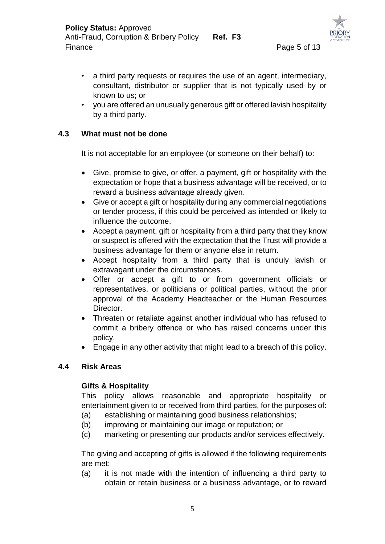- a third party requests or requires the use of an agent, intermediary, consultant, distributor or supplier that is not typically used by or known to us; or
- you are offered an unusually generous gift or offered lavish hospitality by a third party.

#### **4.3 What must not be done**

It is not acceptable for an employee (or someone on their behalf) to:

- Give, promise to give, or offer, a payment, gift or hospitality with the expectation or hope that a business advantage will be received, or to reward a business advantage already given.
- Give or accept a gift or hospitality during any commercial negotiations or tender process, if this could be perceived as intended or likely to influence the outcome.
- Accept a payment, gift or hospitality from a third party that they know or suspect is offered with the expectation that the Trust will provide a business advantage for them or anyone else in return.
- Accept hospitality from a third party that is unduly lavish or extravagant under the circumstances.
- Offer or accept a gift to or from government officials or representatives, or politicians or political parties, without the prior approval of the Academy Headteacher or the Human Resources Director.
- Threaten or retaliate against another individual who has refused to commit a bribery offence or who has raised concerns under this policy.
- Engage in any other activity that might lead to a breach of this policy.

#### **4.4 Risk Areas**

#### **Gifts & Hospitality**

This policy allows reasonable and appropriate hospitality or entertainment given to or received from third parties, for the purposes of:

- (a) establishing or maintaining good business relationships;
- (b) improving or maintaining our image or reputation; or
- (c) marketing or presenting our products and/or services effectively.

The giving and accepting of gifts is allowed if the following requirements are met:

(a) it is not made with the intention of influencing a third party to obtain or retain business or a business advantage, or to reward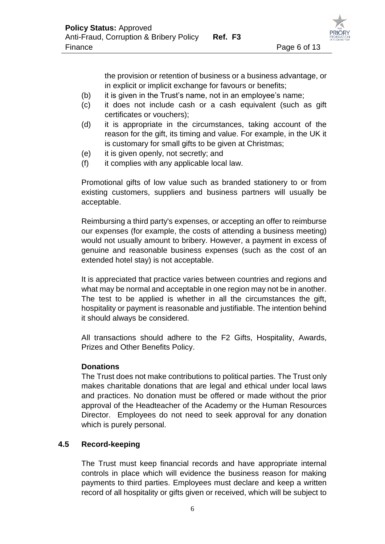the provision or retention of business or a business advantage, or in explicit or implicit exchange for favours or benefits;

- (b) it is given in the Trust's name, not in an employee's name;
- (c) it does not include cash or a cash equivalent (such as gift certificates or vouchers);
- (d) it is appropriate in the circumstances, taking account of the reason for the gift, its timing and value. For example, in the UK it is customary for small gifts to be given at Christmas;
- (e) it is given openly, not secretly; and
- (f) it complies with any applicable local law.

Promotional gifts of low value such as branded stationery to or from existing customers, suppliers and business partners will usually be acceptable.

Reimbursing a third party's expenses, or accepting an offer to reimburse our expenses (for example, the costs of attending a business meeting) would not usually amount to bribery. However, a payment in excess of genuine and reasonable business expenses (such as the cost of an extended hotel stay) is not acceptable.

It is appreciated that practice varies between countries and regions and what may be normal and acceptable in one region may not be in another. The test to be applied is whether in all the circumstances the gift, hospitality or payment is reasonable and justifiable. The intention behind it should always be considered.

All transactions should adhere to the F2 Gifts, Hospitality, Awards, Prizes and Other Benefits Policy.

#### **Donations**

The Trust does not make contributions to political parties. The Trust only makes charitable donations that are legal and ethical under local laws and practices. No donation must be offered or made without the prior approval of the Headteacher of the Academy or the Human Resources Director. Employees do not need to seek approval for any donation which is purely personal.

## **4.5 Record-keeping**

The Trust must keep financial records and have appropriate internal controls in place which will evidence the business reason for making payments to third parties. Employees must declare and keep a written record of all hospitality or gifts given or received, which will be subject to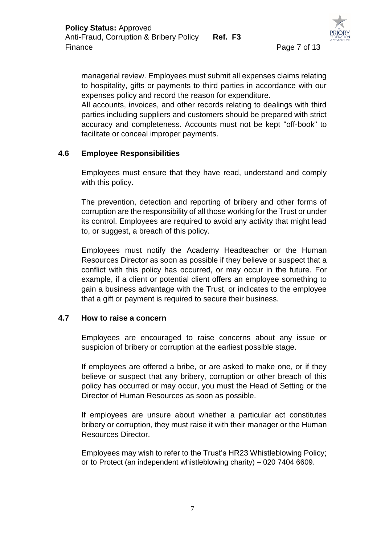managerial review. Employees must submit all expenses claims relating to hospitality, gifts or payments to third parties in accordance with our expenses policy and record the reason for expenditure.

All accounts, invoices, and other records relating to dealings with third parties including suppliers and customers should be prepared with strict accuracy and completeness. Accounts must not be kept "off-book" to facilitate or conceal improper payments.

### **4.6 Employee Responsibilities**

Employees must ensure that they have read, understand and comply with this policy.

The prevention, detection and reporting of bribery and other forms of corruption are the responsibility of all those working for the Trust or under its control. Employees are required to avoid any activity that might lead to, or suggest, a breach of this policy.

Employees must notify the Academy Headteacher or the Human Resources Director as soon as possible if they believe or suspect that a conflict with this policy has occurred, or may occur in the future. For example, if a client or potential client offers an employee something to gain a business advantage with the Trust, or indicates to the employee that a gift or payment is required to secure their business.

#### **4.7 How to raise a concern**

Employees are encouraged to raise concerns about any issue or suspicion of bribery or corruption at the earliest possible stage.

If employees are offered a bribe, or are asked to make one, or if they believe or suspect that any bribery, corruption or other breach of this policy has occurred or may occur, you must the Head of Setting or the Director of Human Resources as soon as possible.

If employees are unsure about whether a particular act constitutes bribery or corruption, they must raise it with their manager or the Human Resources Director.

Employees may wish to refer to the Trust's HR23 Whistleblowing Policy; or to Protect (an independent whistleblowing charity) – 020 7404 6609.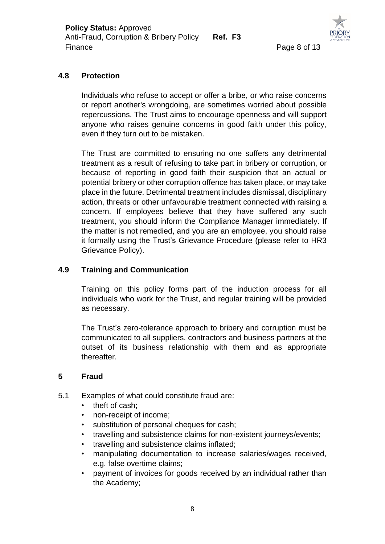

#### **4.8 Protection**

Individuals who refuse to accept or offer a bribe, or who raise concerns or report another's wrongdoing, are sometimes worried about possible repercussions. The Trust aims to encourage openness and will support anyone who raises genuine concerns in good faith under this policy, even if they turn out to be mistaken.

The Trust are committed to ensuring no one suffers any detrimental treatment as a result of refusing to take part in bribery or corruption, or because of reporting in good faith their suspicion that an actual or potential bribery or other corruption offence has taken place, or may take place in the future. Detrimental treatment includes dismissal, disciplinary action, threats or other unfavourable treatment connected with raising a concern. If employees believe that they have suffered any such treatment, you should inform the Compliance Manager immediately. If the matter is not remedied, and you are an employee, you should raise it formally using the Trust's Grievance Procedure (please refer to HR3 Grievance Policy).

#### **4.9 Training and Communication**

Training on this policy forms part of the induction process for all individuals who work for the Trust, and regular training will be provided as necessary.

The Trust's zero-tolerance approach to bribery and corruption must be communicated to all suppliers, contractors and business partners at the outset of its business relationship with them and as appropriate thereafter.

#### **5 Fraud**

- 5.1 Examples of what could constitute fraud are:
	- theft of cash;
	- non-receipt of income;
	- substitution of personal cheques for cash;
	- travelling and subsistence claims for non-existent journeys/events;
	- travelling and subsistence claims inflated;
	- manipulating documentation to increase salaries/wages received, e.g. false overtime claims;
	- payment of invoices for goods received by an individual rather than the Academy;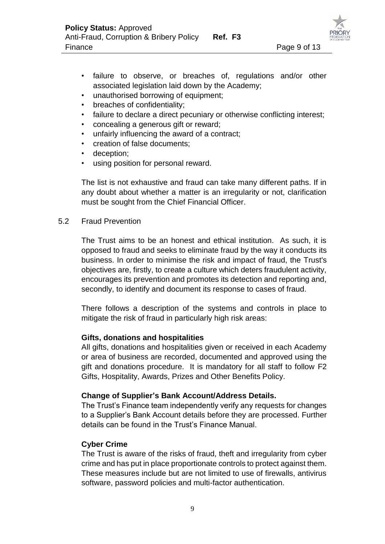

- failure to observe, or breaches of, regulations and/or other associated legislation laid down by the Academy;
- unauthorised borrowing of equipment;
- breaches of confidentiality;
- failure to declare a direct pecuniary or otherwise conflicting interest;
- concealing a generous gift or reward;
- unfairly influencing the award of a contract;
- creation of false documents;
- deception:
- using position for personal reward.

The list is not exhaustive and fraud can take many different paths. If in any doubt about whether a matter is an irregularity or not, clarification must be sought from the Chief Financial Officer.

#### 5.2 Fraud Prevention

The Trust aims to be an honest and ethical institution. As such, it is opposed to fraud and seeks to eliminate fraud by the way it conducts its business. In order to minimise the risk and impact of fraud, the Trust's objectives are, firstly, to create a culture which deters fraudulent activity, encourages its prevention and promotes its detection and reporting and, secondly, to identify and document its response to cases of fraud.

There follows a description of the systems and controls in place to mitigate the risk of fraud in particularly high risk areas:

#### **Gifts, donations and hospitalities**

All gifts, donations and hospitalities given or received in each Academy or area of business are recorded, documented and approved using the gift and donations procedure. It is mandatory for all staff to follow F2 Gifts, Hospitality, Awards, Prizes and Other Benefits Policy.

#### **Change of Supplier's Bank Account/Address Details.**

The Trust's Finance team independently verify any requests for changes to a Supplier's Bank Account details before they are processed. Further details can be found in the Trust's Finance Manual.

#### **Cyber Crime**

The Trust is aware of the risks of fraud, theft and irregularity from cyber crime and has put in place proportionate controls to protect against them. These measures include but are not limited to use of firewalls, antivirus software, password policies and multi-factor authentication.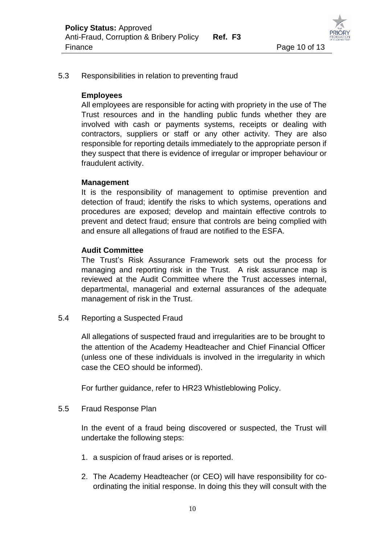

#### 5.3 Responsibilities in relation to preventing fraud

#### **Employees**

All employees are responsible for acting with propriety in the use of The Trust resources and in the handling public funds whether they are involved with cash or payments systems, receipts or dealing with contractors, suppliers or staff or any other activity. They are also responsible for reporting details immediately to the appropriate person if they suspect that there is evidence of irregular or improper behaviour or fraudulent activity.

#### **Management**

It is the responsibility of management to optimise prevention and detection of fraud; identify the risks to which systems, operations and procedures are exposed; develop and maintain effective controls to prevent and detect fraud; ensure that controls are being complied with and ensure all allegations of fraud are notified to the ESFA.

#### **Audit Committee**

The Trust's Risk Assurance Framework sets out the process for managing and reporting risk in the Trust. A risk assurance map is reviewed at the Audit Committee where the Trust accesses internal, departmental, managerial and external assurances of the adequate management of risk in the Trust.

5.4 Reporting a Suspected Fraud

All allegations of suspected fraud and irregularities are to be brought to the attention of the Academy Headteacher and Chief Financial Officer (unless one of these individuals is involved in the irregularity in which case the CEO should be informed).

For further guidance, refer to HR23 Whistleblowing Policy.

#### 5.5 Fraud Response Plan

In the event of a fraud being discovered or suspected, the Trust will undertake the following steps:

- 1. a suspicion of fraud arises or is reported.
- 2. The Academy Headteacher (or CEO) will have responsibility for coordinating the initial response. In doing this they will consult with the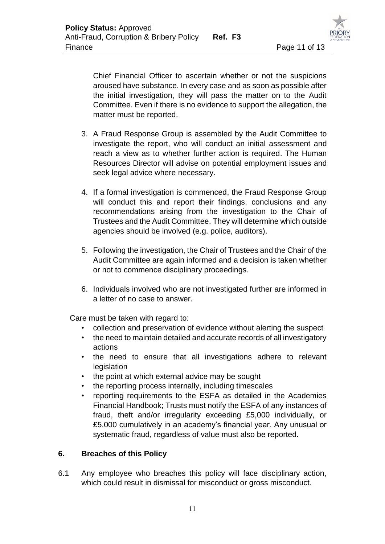

Chief Financial Officer to ascertain whether or not the suspicions aroused have substance. In every case and as soon as possible after the initial investigation, they will pass the matter on to the Audit Committee. Even if there is no evidence to support the allegation, the matter must be reported.

- 3. A Fraud Response Group is assembled by the Audit Committee to investigate the report, who will conduct an initial assessment and reach a view as to whether further action is required. The Human Resources Director will advise on potential employment issues and seek legal advice where necessary.
- 4. If a formal investigation is commenced, the Fraud Response Group will conduct this and report their findings, conclusions and any recommendations arising from the investigation to the Chair of Trustees and the Audit Committee. They will determine which outside agencies should be involved (e.g. police, auditors).
- 5. Following the investigation, the Chair of Trustees and the Chair of the Audit Committee are again informed and a decision is taken whether or not to commence disciplinary proceedings.
- 6. Individuals involved who are not investigated further are informed in a letter of no case to answer.

Care must be taken with regard to:

- collection and preservation of evidence without alerting the suspect
- the need to maintain detailed and accurate records of all investigatory actions
- the need to ensure that all investigations adhere to relevant legislation
- the point at which external advice may be sought
- the reporting process internally, including timescales
- reporting requirements to the ESFA as detailed in the Academies Financial Handbook; Trusts must notify the ESFA of any instances of fraud, theft and/or irregularity exceeding £5,000 individually, or £5,000 cumulatively in an academy's financial year. Any unusual or systematic fraud, regardless of value must also be reported.

## **6. Breaches of this Policy**

6.1 Any employee who breaches this policy will face disciplinary action, which could result in dismissal for misconduct or gross misconduct.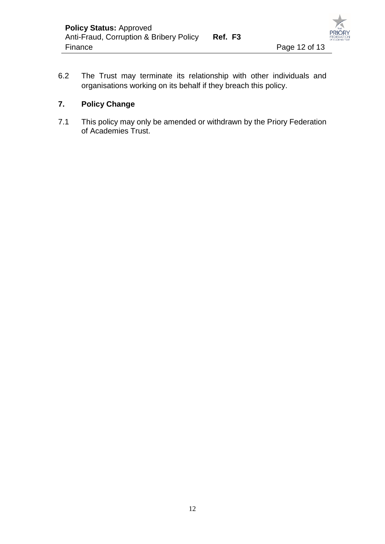

6.2 The Trust may terminate its relationship with other individuals and organisations working on its behalf if they breach this policy.

## **7. Policy Change**

7.1 This policy may only be amended or withdrawn by the Priory Federation of Academies Trust.